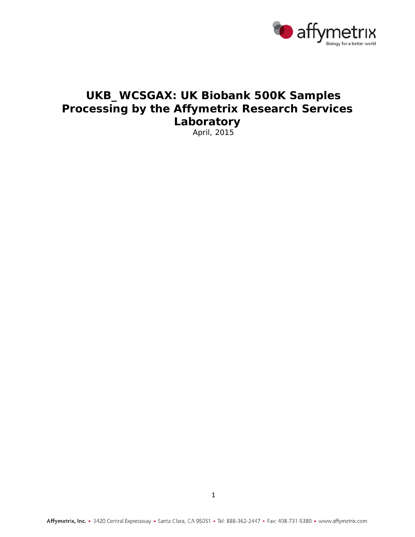

# **UKB\_WCSGAX: UK Biobank 500K Samples Processing by the Affymetrix Research Services Laboratory**

April, 2015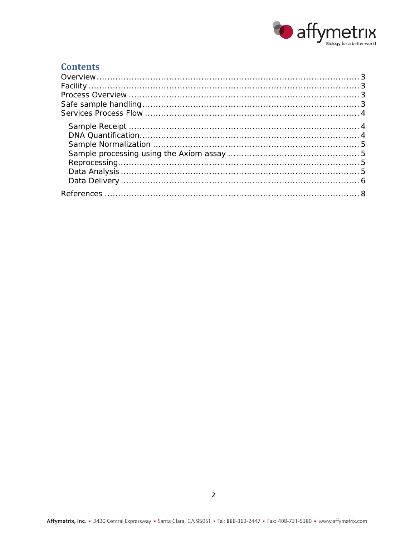

## **Contents**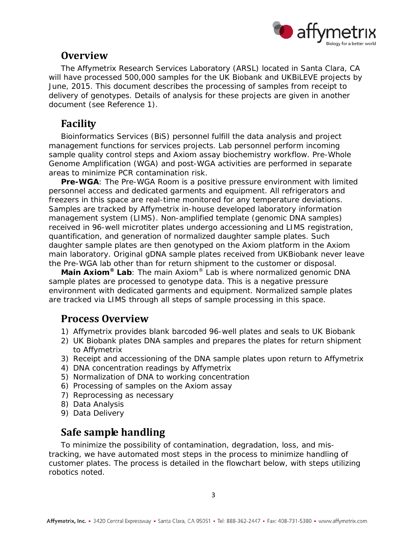

# <span id="page-2-0"></span>**Overview**

The Affymetrix Research Services Laboratory (ARSL) located in Santa Clara, CA will have processed 500,000 samples for the UK Biobank and UKBiLEVE projects by June, 2015. This document describes the processing of samples from receipt to delivery of genotypes. Details of analysis for these projects are given in another document (see Reference [1\)](#page-7-1).

# <span id="page-2-1"></span>**Facility**

Bioinformatics Services (BiS) personnel fulfill the data analysis and project management functions for services projects. Lab personnel perform incoming sample quality control steps and Axiom assay biochemistry workflow. Pre-Whole Genome Amplification (WGA) and post-WGA activities are performed in separate areas to minimize PCR contamination risk.

Pre-WGA: The Pre-WGA Room is a positive pressure environment with limited personnel access and dedicated garments and equipment. All refrigerators and freezers in this space are real-time monitored for any temperature deviations. Samples are tracked by Affymetrix in-house developed laboratory information management system (LIMS). Non-amplified template (genomic DNA samples) received in 96-well microtiter plates undergo accessioning and LIMS registration, quantification, and generation of normalized daughter sample plates. Such daughter sample plates are then genotyped on the Axiom platform in the Axiom main laboratory. Original gDNA sample plates received from UKBiobank never leave the Pre-WGA lab other than for return shipment to the customer or disposal.

*Main Axiom® Lab*: The main Axiom® Lab is where normalized genomic DNA sample plates are processed to genotype data. This is a negative pressure environment with dedicated garments and equipment. Normalized sample plates are tracked via LIMS through all steps of sample processing in this space.

# <span id="page-2-2"></span>**Process Overview**

- 1) Affymetrix provides blank barcoded 96-well plates and seals to UK Biobank
- 2) UK Biobank plates DNA samples and prepares the plates for return shipment to Affymetrix
- 3) Receipt and accessioning of the DNA sample plates upon return to Affymetrix
- 4) DNA concentration readings by Affymetrix
- 5) Normalization of DNA to working concentration
- 6) Processing of samples on the Axiom assay
- 7) Reprocessing as necessary
- 8) Data Analysis
- 9) Data Delivery

# <span id="page-2-3"></span>**Safe sample handling**

To minimize the possibility of contamination, degradation, loss, and mistracking, we have automated most steps in the process to minimize handling of customer plates. The process is detailed in the flowchart below, with steps utilizing robotics noted.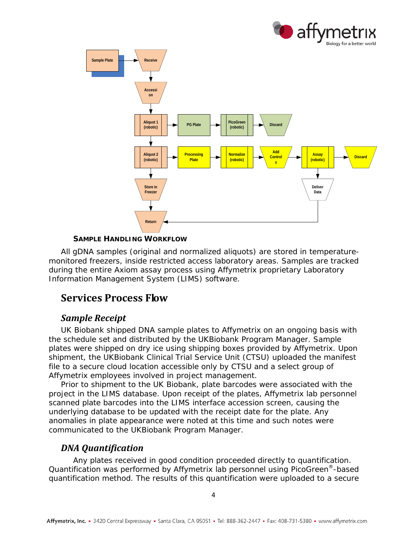



#### **SAMPLE HANDLING WORKFLOW**

All gDNA samples (original and normalized aliquots) are stored in temperaturemonitored freezers, inside restricted access laboratory areas. Samples are tracked during the entire Axiom assay process using Affymetrix proprietary Laboratory Information Management System (LIMS) software.

# <span id="page-3-0"></span>**Services Process Flow**

#### <span id="page-3-1"></span>*Sample Receipt*

UK Biobank shipped DNA sample plates to Affymetrix on an ongoing basis with the schedule set and distributed by the UKBiobank Program Manager. Sample plates were shipped on dry ice using shipping boxes provided by Affymetrix. Upon shipment, the UKBiobank Clinical Trial Service Unit (CTSU) uploaded the manifest file to a secure cloud location accessible only by CTSU and a select group of Affymetrix employees involved in project management.

Prior to shipment to the UK Biobank, plate barcodes were associated with the project in the LIMS database. Upon receipt of the plates, Affymetrix lab personnel scanned plate barcodes into the LIMS interface accession screen, causing the underlying database to be updated with the receipt date for the plate. Any anomalies in plate appearance were noted at this time and such notes were communicated to the UKBiobank Program Manager.

#### <span id="page-3-2"></span>*DNA Quantification*

Any plates received in good condition proceeded directly to quantification. Quantification was performed by Affymetrix lab personnel using PicoGreen®-based quantification method. The results of this quantification were uploaded to a secure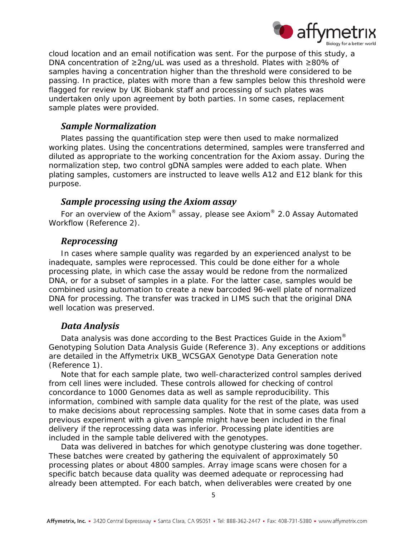

cloud location and an email notification was sent. For the purpose of this study, a DNA concentration of ≥2ng/uL was used as a threshold. Plates with ≥80% of samples having a concentration higher than the threshold were considered to be passing. In practice, plates with more than a few samples below this threshold were flagged for review by UK Biobank staff and processing of such plates was undertaken only upon agreement by both parties. In some cases, replacement sample plates were provided.

### <span id="page-4-0"></span>*Sample Normalization*

Plates passing the quantification step were then used to make normalized working plates. Using the concentrations determined, samples were transferred and diluted as appropriate to the working concentration for the Axiom assay. During the normalization step, two control gDNA samples were added to each plate. When plating samples, customers are instructed to leave wells A12 and E12 blank for this purpose.

### <span id="page-4-1"></span>*Sample processing using the Axiom assay*

For an overview of the Axiom® assay, please see Axiom® 2.0 Assay Automated Workflow (Reference [2\)](#page-7-2).

### <span id="page-4-2"></span>*Reprocessing*

In cases where sample quality was regarded by an experienced analyst to be inadequate, samples were reprocessed. This could be done either for a whole processing plate, in which case the assay would be redone from the normalized DNA, or for a subset of samples in a plate. For the latter case, samples would be combined using automation to create a new barcoded 96-well plate of normalized DNA for processing. The transfer was tracked in LIMS such that the original DNA well location was preserved.

### <span id="page-4-3"></span>*Data Analysis*

Data analysis was done according to the Best Practices Guide in the Axiom<sup>®</sup> Genotyping Solution Data Analysis Guide (Reference [3\)](#page-7-3). Any exceptions or additions are detailed in the Affymetrix UKB\_WCSGAX Genotype Data Generation note (Reference [1\)](#page-7-1).

Note that for each sample plate, two well-characterized control samples derived from cell lines were included. These controls allowed for checking of control concordance to 1000 Genomes data as well as sample reproducibility. This information, combined with sample data quality for the rest of the plate, was used to make decisions about reprocessing samples. Note that in some cases data from a previous experiment with a given sample might have been included in the final delivery if the reprocessing data was inferior. Processing plate identities are included in the sample table delivered with the genotypes.

Data was delivered in batches for which genotype clustering was done together. These batches were created by gathering the equivalent of approximately 50 processing plates or about 4800 samples. Array image scans were chosen for a specific batch because data quality was deemed adequate or reprocessing had already been attempted. For each batch, when deliverables were created by one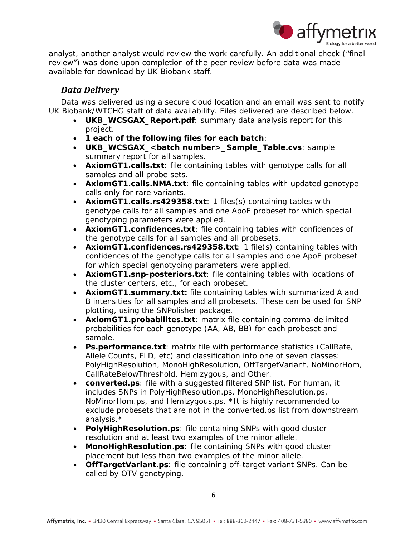

analyst, another analyst would review the work carefully. An additional check ("final review") was done upon completion of the peer review before data was made available for download by UK Biobank staff.

### <span id="page-5-0"></span>*Data Delivery*

Data was delivered using a secure cloud location and an email was sent to notify UK Biobank/WTCHG staff of data availability. Files delivered are described below.

- **UKB\_WCSGAX\_Report.pdf:** summary data analysis report for this project.
- **1 each of the following files for each batch**:
- **UKB\_WCSGAX\_<batch number>\_Sample\_Table.cvs**: sample summary report for all samples.
- **AxiomGT1.calls.txt**: file containing tables with genotype calls for all samples and all probe sets.
- **AxiomGT1.calls.NMA.txt**: file containing tables with updated genotype calls only for rare variants.
- **AxiomGT1.calls.rs429358.txt**: 1 files(s) containing tables with genotype calls for all samples and one ApoE probeset for which special genotyping parameters were applied.
- **AxiomGT1.confidences.txt**: file containing tables with confidences of the genotype calls for all samples and all probesets.
- **AxiomGT1.confidences.rs429358.txt**: 1 file(s) containing tables with confidences of the genotype calls for all samples and one ApoE probeset for which special genotyping parameters were applied.
- **AxiomGT1.snp-posteriors.txt**: file containing tables with locations of the cluster centers, etc., for each probeset.
- **AxiomGT1.summary.txt:** file containing tables with summarized A and B intensities for all samples and all probesets. These can be used for SNP plotting, using the SNPolisher package.
- **AxiomGT1.probabilites.txt**: matrix file containing comma-delimited probabilities for each genotype (AA, AB, BB) for each probeset and sample.
- **Ps.performance.txt**: matrix file with performance statistics (CallRate, Allele Counts, FLD, etc) and classification into one of seven classes: PolyHighResolution, MonoHighResolution, OffTargetVariant, NoMinorHom, CallRateBelowThreshold, Hemizygous, and Other.
- **converted.ps**: file with a suggested filtered SNP list. For human, it includes SNPs in PolyHighResolution.ps, MonoHighResolution.ps, NoMinorHom.ps, and Hemizygous.ps. \*It is highly recommended to exclude probesets that are not in the converted.ps list from downstream analysis.\*
- **PolyHighResolution.ps**: file containing SNPs with good cluster resolution and at least two examples of the minor allele.
- **MonoHighResolution.ps**: file containing SNPs with good cluster placement but less than two examples of the minor allele.
- **OffTargetVariant.ps**: file containing off-target variant SNPs. Can be called by OTV genotyping.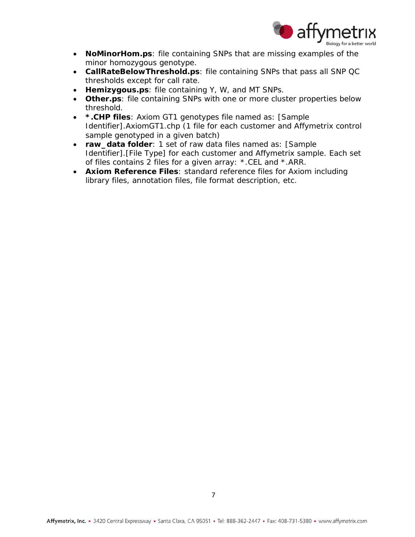

- **NoMinorHom.ps**: file containing SNPs that are missing examples of the minor homozygous genotype.
- **CallRateBelowThreshold.ps**: file containing SNPs that pass all SNP QC thresholds except for call rate.
- **Hemizygous.ps**: file containing Y, W, and MT SNPs.
- **Other.ps**: file containing SNPs with one or more cluster properties below threshold.
- **\*.CHP files**: Axiom GT1 genotypes file named as: [Sample Identifier].AxiomGT1.chp (1 file for each customer and Affymetrix control sample genotyped in a given batch)
- **raw\_data folder**: 1 set of raw data files named as: [Sample Identifier].[File Type] for each customer and Affymetrix sample. Each set of files contains 2 files for a given array: \*.CEL and \*.ARR.
- **Axiom Reference Files**: standard reference files for Axiom including library files, annotation files, file format description, etc.